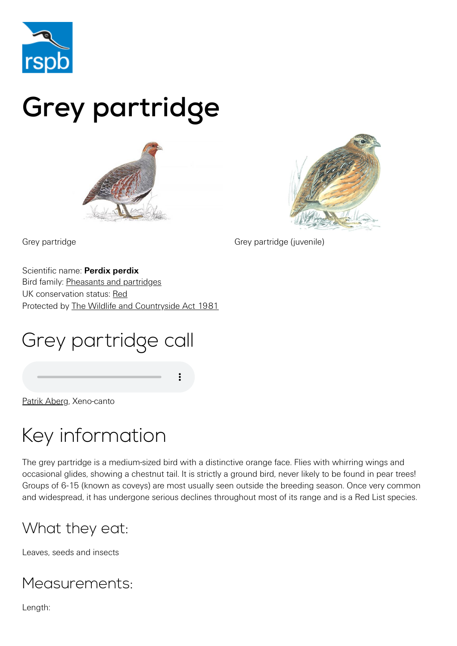

# Grey partridge





Grey partridge Grey partridge (juvenile)

Scientific name: **Perdix perdix** Bird family: [Pheasants and partridges](https://www.rspb.org.uk/birds-and-wildlife/wildlife-guides/bird-a-z/pheasants-partridges/) UK conservation status: [Red](https://www.rspb.org.uk/birds-and-wildlife/wildlife-guides/uk-conservation-status-explained/) Protected by [The Wildlife and Countryside Act 1981](https://www.rspb.org.uk/birds-and-wildlife/advice/wildlife-and-the-law/wildlife-and-countryside-act/)

# Grey partridge call

[Patrik Aberg,](http://www.xeno-canto.org/42430) Xeno-canto

### Key information

The grey partridge is a medium-sized bird with a distinctive orange face. Flies with whirring wings and occasional glides, showing a chestnut tail. It is strictly a ground bird, never likely to be found in pear trees! Groups of 6-15 (known as coveys) are most usually seen outside the breeding season. Once very common and widespread, it has undergone serious declines throughout most of its range and is a Red List species.

### What they eat:

Leaves, seeds and insects

#### Measurements:

Length: